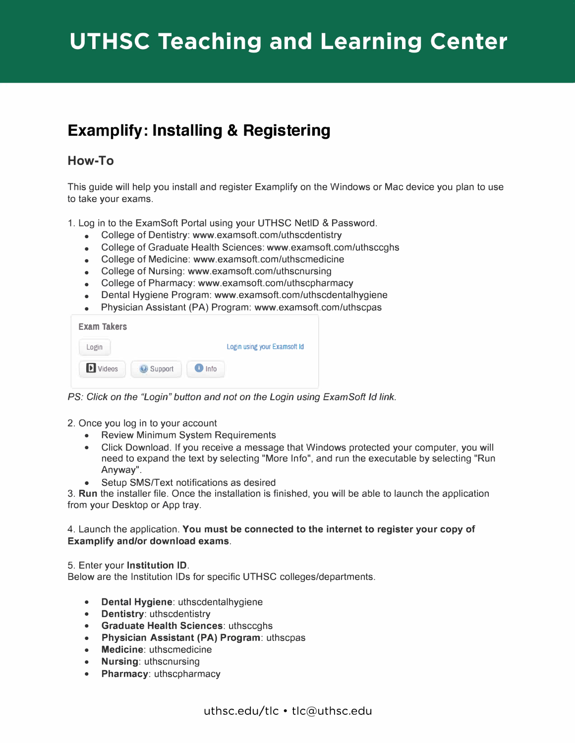## **Examplify: Installing & Registering**

## **How-To**

This guide will help you install and register Examplify on the Windows or Mac device you plan to use to take your exams.

1. Log in to the ExamSoft Portal using your UTHSC NetlD & Password.

- College of Dentistry: www.examsoft.com/uthscdentistry
- College of Graduate Health Sciences:<www.examsoft.com/uthsccghs>
- College of Medicine: www.examsoft.com/uthscmedicine
- College of Nursing: www.examsoft.com/uthscnursing
- College of Pharmacy: www.examsoft.com/uthscpharmacy
- Dental Hygiene Program: www.examsoft.com/uthscdentalhygiene
- Physician Assistant (PA) Program: www.examsoft.com/uthscpas

| <b>Exam Takers</b> |         |      |                                     |
|--------------------|---------|------|-------------------------------------|
| Login              |         |      | <b>Login using your Examsoft Id</b> |
| Videos             | Support | Info |                                     |

**PS: Click on the "Login" button and not on the Login using ExamSoft Id link.** 

- 2. Once you log in to your account
	- Review Minimum System Requirements
	- Click Download. If you receive a message that Windows protected your computer, you will need to expand the text by selecting "More Info", and run the executable by selecting "Run Anyway".
	- Setup SMS/Text notifications as desired

3. **Run** the installer file. Once the installation is finished, you will be able to launch the application from your Desktop or App tray.

## 4. Launch the application. **You must be connected to the internet to register your copy of Examplify and/or download exams.**

5. Enter your **Institution ID.**

Below are the Institution IDs for specific UTHSC colleges/departments.

- **Dental Hygiene:** uthscdentalhygiene
- **Dentistry:** uthscdentistry
- **Graduate Health Sciences:** uthsccghs
- **Physician Assistant (PA) Program:** uthscpas
- **Medicine:** uthscmedicine
- **Nursing:** uthscnursing
- **Pharmacy:** uthscpharmacy